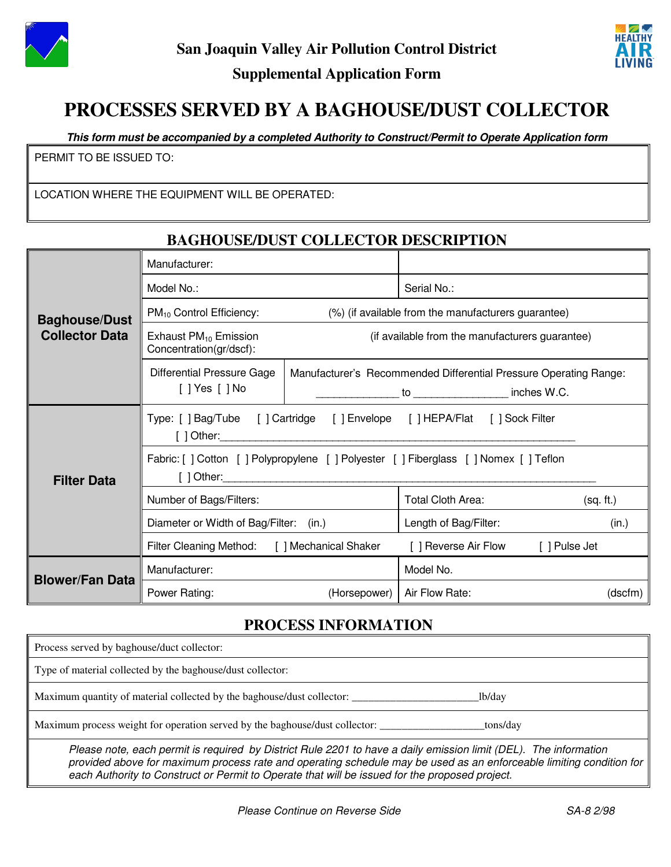

### **Supplemental Application Form**



# **PROCESSES SERVED BY A BAGHOUSE/DUST COLLECTOR**

**This form must be accompanied by a completed Authority to Construct/Permit to Operate Application form**

PERMIT TO BE ISSUED TO:

LOCATION WHERE THE EQUIPMENT WILL BE OPERATED:

|                                               | <b>BAGHOUSE/DUST COLLECTOR DESCRIPTION</b>                                                               |                      |                                                                                                           |               |         |  |
|-----------------------------------------------|----------------------------------------------------------------------------------------------------------|----------------------|-----------------------------------------------------------------------------------------------------------|---------------|---------|--|
| <b>Baghouse/Dust</b><br><b>Collector Data</b> | Manufacturer:                                                                                            |                      |                                                                                                           |               |         |  |
|                                               | Model No.:                                                                                               |                      | Serial No.:                                                                                               |               |         |  |
|                                               | (%) (if available from the manufacturers guarantee)<br>$PM_{10}$ Control Efficiency:                     |                      |                                                                                                           |               |         |  |
|                                               | Exhaust $PM_{10}$ Emission<br>(if available from the manufacturers guarantee)<br>Concentration(gr/dscf): |                      |                                                                                                           |               |         |  |
|                                               | <b>Differential Pressure Gage</b><br>$[$ ] Yes $[$ ] No                                                  |                      | Manufacturer's Recommended Differential Pressure Operating Range:<br>to _____________________ inches W.C. |               |         |  |
| <b>Filter Data</b>                            | Type: [ ] Bag/Tube [ ] Cartridge<br>[] Envelope [] HEPA/Flat [] Sock Filter<br>$[$ ] Other:              |                      |                                                                                                           |               |         |  |
|                                               | Fabric: [ ] Cotton [ ] Polypropylene [ ] Polyester [ ] Fiberglass [ ] Nomex [ ] Teflon<br>$[$ ] Other:   |                      |                                                                                                           |               |         |  |
|                                               | Number of Bags/Filters:                                                                                  |                      | <b>Total Cloth Area:</b>                                                                                  | (sq. ft.)     |         |  |
|                                               | Diameter or Width of Bag/Filter:<br>(in.)                                                                |                      | Length of Bag/Filter:                                                                                     |               | (in.)   |  |
|                                               | <b>Filter Cleaning Method:</b>                                                                           | [] Mechanical Shaker | [ ] Reverse Air Flow                                                                                      | [ ] Pulse Jet |         |  |
| <b>Blower/Fan Data</b>                        | Manufacturer:                                                                                            |                      | Model No.                                                                                                 |               |         |  |
|                                               | Power Rating:                                                                                            | (Horsepower)         | Air Flow Rate:                                                                                            |               | (dscfm) |  |

### **PROCESS INFORMATION**

 Process served by baghouse/duct collector: Type of material collected by the baghouse/dust collector: Maximum quantity of material collected by the baghouse/dust collector: \_\_\_\_\_\_\_\_\_\_\_\_\_\_\_\_\_\_\_\_\_\_\_lb/day Maximum process weight for operation served by the baghouse/dust collector:  $\frac{1}{2}$  tons/day Please note, each permit is required by District Rule 2201 to have a daily emission limit (DEL). The information provided above for maximum process rate and operating schedule may be used as an enforceable limiting condition for

each Authority to Construct or Permit to Operate that will be issued for the proposed project.